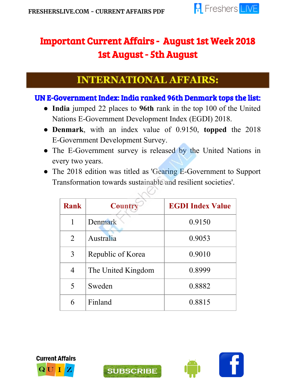

# Important Current Affairs - August 1st Week 2018 1st August - 5th August

## **INTERNATIONAL AFFAIRS:**

#### UN E-Government Index: India ranked 96th Denmark tops the list:

- **India** jumped 22 places to **96th** rank in the top 100 of the United Nations E-Government Development Index (EGDI) 2018.
- **Denmark**, with an index value of 0.9150, **topped** the 2018 E-Government Development Survey.
- The E-Government survey is released by the United Nations in every two years.
- The 2018 edition was titled as 'Gearing E-Government to Support Transformation towards sustainable and resilient societies'.

| <b>Rank</b> | <b>Country</b>     | <b>EGDI Index Value</b> |
|-------------|--------------------|-------------------------|
|             | Denmark            | 0.9150                  |
| 2           | Australia          | 0.9053                  |
| 3           | Republic of Korea  | 0.9010                  |
| 4           | The United Kingdom | 0.8999                  |
| 5           | Sweden             | 0.8882                  |
| 6           | Finland            | 0.8815                  |





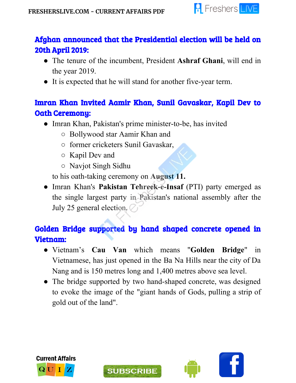

## Afghan announced that the Presidential election will be held on 20th April 2019:

- The tenure of the incumbent, President **Ashraf Ghani**, will end in the year 2019.
- It is expected that he will stand for another five-year term.

## Imran Khan Invited Aamir Khan, Sunil Gavaskar, Kapil Dev to Oath Ceremony:

- Imran Khan, Pakistan's prime minister-to-be, has invited
	- Bollywood star Aamir Khan and
	- former cricketers Sunil Gavaskar,
	- Kapil Dev and
	- Navjot Singh Sidhu

to his oath-taking ceremony on **August 11.**

● Imran Khan's **Pakistan Tehreek-e-Insaf** (PTI) party emerged as the single largest party in Pakistan's national assembly after the July 25 general election.

## Golden Bridge supported by hand shaped concrete opened in Vietnam:

- Vietnam's **Cau Van** which means "**Golden Bridge**" in Vietnamese, has just opened in the Ba Na Hills near the city of Da Nang and is 150 metres long and 1,400 metres above sea level.
- The bridge supported by two hand-shaped concrete, was designed to evoke the image of the "giant hands of Gods, pulling a strip of gold out of the land".





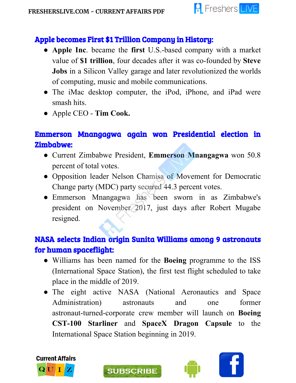

#### Apple becomes First \$1 Trillion Company in History:

- **Apple Inc**. became the **first** U.S.-based company with a market value of **\$1 trillion**, four decades after it was co-founded by **Steve Jobs** in a Silicon Valley garage and later revolutionized the worlds of computing, music and mobile communications.
- The iMac desktop computer, the iPod, iPhone, and iPad were smash hits.
- Apple CEO **Tim Cook.**

### Emmerson Mnangagwa again won Presidential election in Zimbabwe:

- Current Zimbabwe President, **Emmerson Mnangagwa** won 50.8 percent of total votes.
- Opposition leader Nelson Chamisa of Movement for Democratic Change party (MDC) party secured 44.3 percent votes.
- Emmerson Mnangagwa has been sworn in as Zimbabwe's president on November 2017, just days after Robert Mugabe resigned.

## NASA selects Indian origin Sunita Williams among 9 astronauts for human spaceflight:

- Williams has been named for the **Boeing** programme to the ISS (International Space Station), the first test flight scheduled to take place in the middle of 2019.
- The eight active NASA (National Aeronautics and Space Administration) astronauts and one former astronaut-turned-corporate crew member will launch on **Boeing CST-100 Starliner** and **SpaceX Dragon Capsule** to the International Space Station beginning in 2019.



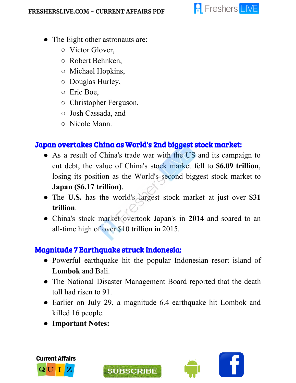

- The Eight other astronauts are:
	- Victor Glover,
	- Robert Behnken,
	- Michael Hopkins,
	- Douglas Hurley,
	- Eric Boe,
	- Christopher Ferguson,
	- Josh Cassada, and
	- Nicole Mann.

### Japan overtakes China as World's 2nd biggest stock market:

- As a result of China's trade war with the US and its campaign to cut debt, the value of China's stock market fell to **\$6.09 trillion**, losing its position as the World's second biggest stock market to **Japan (\$6.17 trillion)**.
- The **U.S.** has the world's largest stock market at just over **\$31 trillion**.
- China's stock market overtook Japan's in **2014** and soared to an all-time high of over \$10 trillion in 2015.

## Magnitude 7 Earthquake struck Indonesia:

- Powerful earthquake hit the popular Indonesian resort island of **Lombok** and Bali.
- The National Disaster Management Board reported that the death toll had risen to 91.
- Earlier on July 29, a magnitude 6.4 earthquake hit Lombok and killed 16 people.
- **● Important Notes:**





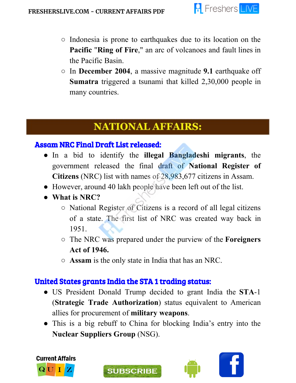

- Indonesia is prone to earthquakes due to its location on the **Pacific** "**Ring of Fire**," an arc of volcanoes and fault lines in the Pacific Basin.
- In **December 2004**, a massive magnitude **9.1** earthquake off **Sumatra** triggered a tsunami that killed 2,30,000 people in many countries.

## **NATIONAL AFFAIRS:**

#### Assam NRC Final Draft List released:

- In a bid to identify the **illegal Bangladeshi migrants**, the government released the final draft of **National Register of Citizens** (NRC) list with names of 28,983,677 citizens in Assam.
- However, around 40 lakh people have been left out of the list.
- **● What is NRC?**

ł

- National Register of Citizens is a record of all legal citizens of a state. The first list of NRC was created way back in 1951.
- The NRC was prepared under the purview of the **Foreigners Act of 1946.**
- **Assam** is the only state in India that has an NRC.

## United States grants India the STA 1 trading status:

- US President Donald Trump decided to grant India the **STA**-1 (**Strategic Trade Authorization**) status equivalent to American allies for procurement of **military weapons**.
- This is a big rebuff to China for blocking India's entry into the **Nuclear Suppliers Group** (NSG).



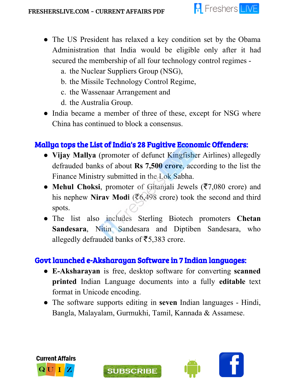

- The US President has relaxed a key condition set by the Obama Administration that India would be eligible only after it had secured the membership of all four technology control regimes
	- a. the Nuclear Suppliers Group (NSG),
	- b. the Missile Technology Control Regime,
	- c. the Wassenaar Arrangement and
	- d. the Australia Group.
- India became a member of three of these, except for NSG where China has continued to block a consensus.

## Mallya tops the List of India's 28 Fugitive Economic Offenders:

- **Vijay Mallya** (promoter of defunct Kingfisher Airlines) allegedly defrauded banks of about **Rs 7,500 crore**, according to the list the Finance Ministry submitted in the Lok Sabha.
- **Mehul Choksi**, promoter of Gitanjali Jewels (₹7,080 crore) and his nephew **Nirav Modi** (₹6,498 crore) took the second and third spots.
- The list also includes Sterling Biotech promoters **Chetan Sandesara**, Nitin Sandesara and Diptiben Sandesara, who allegedly defrauded banks of  $\overline{5}$ ,383 crore.

## Govt launched e-Aksharayan Software in 7 Indian languages:

- **E-Aksharayan** is free, desktop software for converting **scanned printed** Indian Language documents into a fully **editable** text format in Unicode encoding.
- The software supports editing in **seven** Indian languages Hindi, Bangla, Malayalam, Gurmukhi, Tamil, Kannada & Assamese.



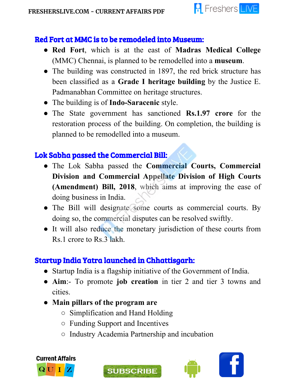

#### Red Fort at MMC is to be remodeled into Museum:

- **Red Fort**, which is at the east of **Madras Medical College** (MMC) Chennai, is planned to be remodelled into a **museum**.
- The building was constructed in 1897, the red brick structure has been classified as a **Grade I heritage building** by the Justice E. Padmanabhan Committee on heritage structures.
- The building is of **Indo-Saracenic** style.
- The State government has sanctioned **Rs.1.97 crore** for the restoration process of the building. On completion, the building is planned to be remodelled into a museum.

### Lok Sabha passed the Commercial Bill:

- The Lok Sabha passed the **Commercial Courts, Commercial Division and Commercial Appellate Division of High Courts (Amendment) Bill, 2018**, which aims at improving the ease of doing business in India.
- The Bill will designate some courts as commercial courts. By doing so, the commercial disputes can be resolved swiftly.
- It will also reduce the monetary jurisdiction of these courts from Rs.1 crore to Rs.3 lakh.

## Startup India Yatra launched in Chhattisgarh:

- Startup India is a flagship initiative of the Government of India.
- **Aim**:- To promote **job creation** in tier 2 and tier 3 towns and cities.
- **● Main pillars of the program are**
	- Simplification and Hand Holding
	- Funding Support and Incentives
	- Industry Academia Partnership and incubation





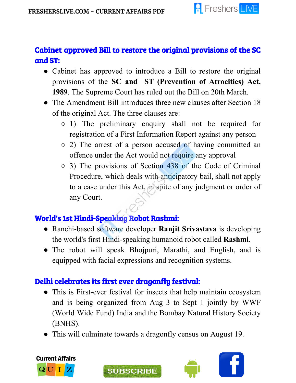

## Cabinet approved Bill to restore the original provisions of the SC and ST:

- Cabinet has approved to introduce a Bill to restore the original provisions of the **SC and ST (Prevention of Atrocities) Act, 1989**. The Supreme Court has ruled out the Bill on 20th March.
- The Amendment Bill introduces three new clauses after Section 18 of the original Act. The three clauses are:
	- 1) The preliminary enquiry shall not be required for registration of a First Information Report against any person
	- 2) The arrest of a person accused of having committed an offence under the Act would not require any approval
	- 3) The provisions of Section 438 of the Code of Criminal Procedure, which deals with anticipatory bail, shall not apply to a case under this Act, in spite of any judgment or order of any Court.

## World's 1st Hindi-Speaking Robot Rashmi:

- Ranchi-based software developer **Ranjit Srivastava** is developing the world's first Hindi-speaking humanoid robot called **Rashmi**.
- The robot will speak Bhojpuri, Marathi, and English, and is equipped with facial expressions and recognition systems.

#### Delhi celebrates its first ever dragonfly festival:

- This is First-ever festival for insects that help maintain ecosystem and is being organized from Aug 3 to Sept 1 jointly by WWF (World Wide Fund) India and the Bombay Natural History Society (BNHS).
- This will culminate towards a dragonfly census on August 19.





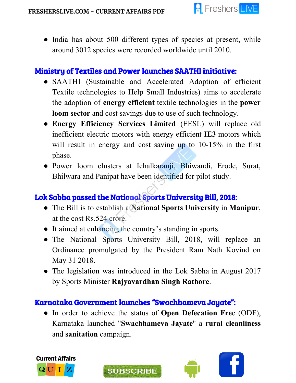

• India has about 500 different types of species at present, while around 3012 species were recorded worldwide until 2010.

#### Ministry of Textiles and Power launches SAATHI initiative:

- SAATHI (Sustainable and Accelerated Adoption of efficient Textile technologies to Help Small Industries) aims to accelerate the adoption of **energy efficient** textile technologies in the **power loom sector** and cost savings due to use of such technology.
- **Energy Efficiency Services Limited** (EESL) will replace old inefficient electric motors with energy efficient **IE3** motors which will result in energy and cost saving up to 10-15% in the first phase.
- Power loom clusters at Ichalkaranji, Bhiwandi, Erode, Surat, Bhilwara and Panipat have been identified for pilot study.

## Lok Sabha passed the National Sports University Bill, 2018:

- The Bill is to establish a **National Sports University** in **Manipur**, at the cost Rs.524 crore.
- It aimed at enhancing the country's standing in sports.
- The National Sports University Bill, 2018, will replace an Ordinance promulgated by the President Ram Nath Kovind on May 31 2018.
- The legislation was introduced in the Lok Sabha in August 2017 by Sports Minister **Rajyavardhan Singh Rathore**.

#### Karnataka Government launches "Swachhameva Jayate":

**SUBSCRIBE** 

● In order to achieve the status of **Open Defecation Fre**e (ODF), Karnataka launched "**Swachhameva Jayate**" a **rural cleanliness** and **sanitation** campaign.



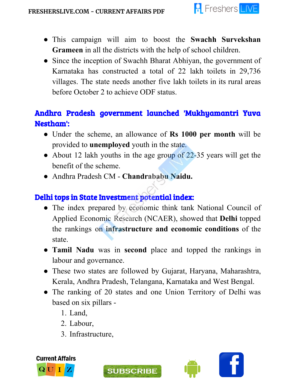

- This campaign will aim to boost the **Swachh Survekshan Grameen** in all the districts with the help of school children.
- Since the inception of Swachh Bharat Abhiyan, the government of Karnataka has constructed a total of 22 lakh toilets in 29,736 villages. The state needs another five lakh toilets in its rural areas before October 2 to achieve ODF status.

## Andhra Pradesh government launched 'Mukhyamantri Yuva Nestham':

- Under the scheme, an allowance of **Rs 1000 per month** will be provided to **unemployed** youth in the state.
- About 12 lakh youths in the age group of 22-35 years will get the benefit of the scheme.
- Andhra Pradesh CM **Chandrababu Naidu.**

## Delhi tops in State Investment potential index:

- The index prepared by economic think tank National Council of Applied Economic Research (NCAER), showed that **Delhi** topped the rankings on **infrastructure and economic conditions** of the state.
- **Tamil Nadu** was in **second** place and topped the rankings in labour and governance.
- These two states are followed by Gujarat, Haryana, Maharashtra, Kerala, Andhra Pradesh, Telangana, Karnataka and West Bengal.
- The ranking of 20 states and one Union Territory of Delhi was based on six pillars -
	- 1. Land,
	- 2. Labour,
	- 3. Infrastructure,





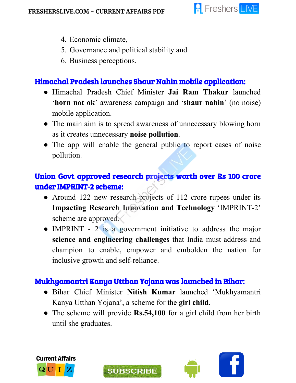

- 4. Economic climate,
- 5. Governance and political stability and
- 6. Business perceptions.

## Himachal Pradesh launches Shaur Nahin mobile application:

- Himachal Pradesh Chief Minister **Jai Ram Thakur** launched '**horn not ok**' awareness campaign and '**shaur nahin**' (no noise) mobile application.
- The main aim is to spread awareness of unnecessary blowing horn as it creates unnecessary **noise pollution**.
- The app will enable the general public to report cases of noise pollution.

## Union Govt approved research projects worth over Rs 100 crore under IMPRINT-2 scheme:

- Around 122 new research projects of 112 crore rupees under its **Impacting Research Innovation and Technology** 'IMPRINT-2' scheme are approved.
- IMPRINT 2 is a government initiative to address the major **science and engineering challenges** that India must address and champion to enable, empower and embolden the nation for inclusive growth and self-reliance.

#### Mukhyamantri Kanya Utthan Yojana was launched in Bihar:

- Bihar Chief Minister **Nitish Kumar** launched 'Mukhyamantri Kanya Utthan Yojana', a scheme for the **girl child**.
- The scheme will provide **Rs.54,100** for a girl child from her birth until she graduates.



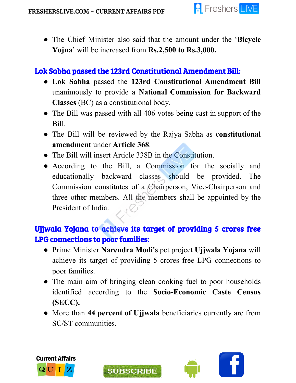

● The Chief Minister also said that the amount under the '**Bicycle Yojna**' will be increased from **Rs.2,500 to Rs.3,000.**

## Lok Sabha passed the 123rd Constitutional Amendment Bill:

- **Lok Sabha** passed the **123rd Constitutional Amendment Bill** unanimously to provide a **National Commission for Backward Classes** (BC) as a constitutional body.
- The Bill was passed with all 406 votes being cast in support of the Bill.
- The Bill will be reviewed by the Rajya Sabha as **constitutional amendment** under **Article 368**.
- The Bill will insert Article 338B in the Constitution.
- According to the Bill, a Commission for the socially and educationally backward classes should be provided. The Commission constitutes of a Chairperson, Vice-Chairperson and three other members. All the members shall be appointed by the President of India.

## Ujjwala Yojana to achieve its target of providing 5 crores free LPG connections to poor families:

- Prime Minister **Narendra Modi's** pet project **Ujjwala Yojana** will achieve its target of providing 5 crores free LPG connections to poor families.
- The main aim of bringing clean cooking fuel to poor households identified according to the **Socio-Economic Caste Census (SECC).**
- More than **44 percent of Ujjwala** beneficiaries currently are from SC/ST communities.





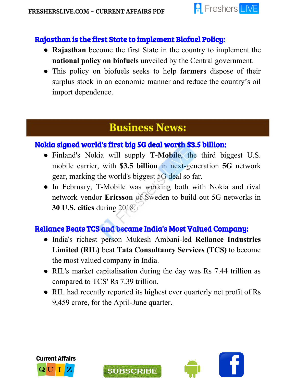

#### Rajasthan is the first State to implement Biofuel Policy:

- **Rajasthan** become the first State in the country to implement the **national policy on biofuels** unveiled by the Central government.
- This policy on biofuels seeks to help **farmers** dispose of their surplus stock in an economic manner and reduce the country's oil import dependence.

# **Business News:**

#### Nokia signed world's first big 5G deal worth \$3.5 billion:

- Finland's Nokia will supply **T-Mobile**, the third biggest U.S. mobile carrier, with **\$3.5 billion** in next-generation **5G** network gear, marking the world's biggest 5G deal so far.
- In February, T-Mobile was working both with Nokia and rival network vendor **Ericsson** of Sweden to build out 5G networks in **30 U.S. cities** during 2018.

## Reliance Beats TCS and became India's Most Valued Company:

- India's richest person Mukesh Ambani-led **Reliance Industries Limited (RIL)** beat **Tata Consultancy Services (TCS)** to become the most valued company in India.
- RIL's market capitalisation during the day was Rs 7.44 trillion as compared to TCS' Rs 7.39 trillion.
- RIL had recently reported its highest ever quarterly net profit of Rs 9,459 crore, for the April-June quarter.





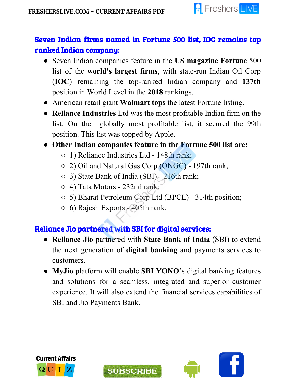

## Seven Indian firms named in Fortune 500 list, IOC remains top ranked Indian company:

- Seven Indian companies feature in the **US magazine Fortune** 500 list of the **world's largest firms**, with state-run Indian Oil Corp (**IOC**) remaining the top-ranked Indian company and **137th** position in World Level in the **2018** rankings.
- American retail giant **Walmart tops** the latest Fortune listing.
- **Reliance Industries** Ltd was the most profitable Indian firm on the list. On the globally most profitable list, it secured the 99th position. This list was topped by Apple.

#### **● Other Indian companies feature in the Fortune 500 list are:**

- 1) Reliance Industries Ltd 148th rank;
- 2) Oil and Natural Gas Corp (ONGC) 197th rank;
- 3) State Bank of India (SBI) 216th rank;
- 4) Tata Motors 232nd rank;
- 5) Bharat Petroleum Corp Ltd (BPCL) 314th position;
- 6) Rajesh Exports 405th rank.

## Reliance Jio partnered with SBI for digital services:

- **Reliance Jio** partnered with **State Bank of India** (SBI) to extend the next generation of **digital banking** and payments services to customers.
- **MyJio** platform will enable **SBI YONO**'s digital banking features and solutions for a seamless, integrated and superior customer experience. It will also extend the financial services capabilities of SBI and Jio Payments Bank.





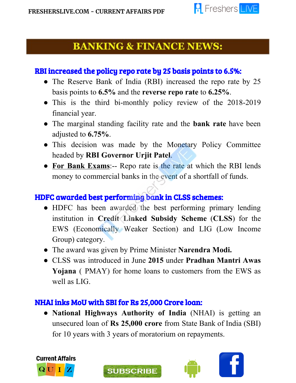

## **BANKING & FINANCE NEWS:**

#### RBI increased the policy repo rate by 25 basis points to 6.5%:

- The Reserve Bank of India (RBI) increased the repo rate by 25 basis points to **6.5%** and the **reverse repo rate** to **6.25%**.
- This is the third bi-monthly policy review of the 2018-2019 financial year.
- The marginal standing facility rate and the **bank rate** have been adjusted to **6.75%**.
- This decision was made by the Monetary Policy Committee headed by **RBI Governor Urjit Patel**.
- **For Bank Exams**:-- Repo rate is the rate at which the RBI lends money to commercial banks in the event of a shortfall of funds.

#### HDFC awarded best performing bank in CLSS schemes:

- HDFC has been awarded the best performing primary lending institution in **Credit Linked Subsidy Scheme** (**CLSS**) for the EWS (Economically Weaker Section) and LIG (Low Income Group) category.
- The award was given by Prime Minister **Narendra Modi.**
- CLSS was introduced in June **2015** under **Pradhan Mantri Awas Yojana** ( PMAY) for home loans to customers from the EWS as well as LIG.

#### NHAI inks MoU with SBI for Rs 25,000 Crore loan:

**SUBSCRIBE** 

● **National Highways Authority of India** (NHAI) is getting an unsecured loan of **Rs 25,000 crore** from State Bank of India (SBI) for 10 years with 3 years of moratorium on repayments.



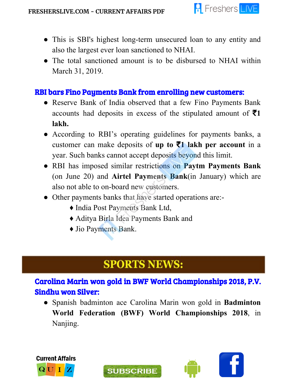

- This is SBI's highest long-term unsecured loan to any entity and also the largest ever loan sanctioned to NHAI.
- The total sanctioned amount is to be disbursed to NHAI within March 31, 2019.

#### RBI bars Fino Payments Bank from enrolling new customers:

- Reserve Bank of India observed that a few Fino Payments Bank accounts had deposits in excess of the stipulated amount of ₹**1 lakh.**
- According to RBI's operating guidelines for payments banks, a customer can make deposits of **up to** ₹**1 lakh per account** in a year. Such banks cannot accept deposits beyond this limit.
- RBI has imposed similar restrictions on **Paytm Payments Bank** (on June 20) and **Airtel Payments Bank**(in January) which are also not able to on-board new customers.
- Other payments banks that have started operations are:
	- ♦ India Post Payments Bank Ltd,
	- ♦ Aditya Birla Idea Payments Bank and

**SUBSCRIBE** 

♦ Jio Payments Bank.

# **SPORTS NEWS:**

Carolina Marin won gold in BWF World Championships 2018, P.V. Sindhu won Silver:

● Spanish badminton ace Carolina Marin won gold in **Badminton World Federation (BWF) World Championships 2018**, in Nanjing.



l

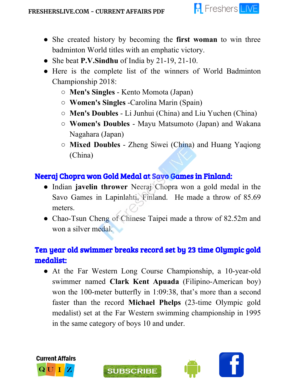

- She created history by becoming the **first woman** to win three badminton World titles with an emphatic victory.
- She beat **P.V.Sindhu** of India by 21-19, 21-10.
- Here is the complete list of the winners of World Badminton Championship 2018:
	- **Men's Singles** Kento Momota (Japan)
	- **Women's Singles** -Carolina Marin (Spain)
	- **Men's Doubles** Li Junhui (China) and Liu Yuchen (China)
	- **Women's Doubles** Mayu Matsumoto (Japan) and Wakana Nagahara (Japan)
	- **Mixed Doubles** Zheng Siwei (China) and Huang Yaqiong (China)

## Neeraj Chopra won Gold Medal at Savo Games in Finland:

- Indian **javelin thrower** Neeraj Chopra won a gold medal in the Savo Games in Lapinlahti, Finland. He made a throw of 85.69 meters.
- Chao-Tsun Cheng of Chinese Taipei made a throw of 82.52m and won a silver medal.

## Ten year old swimmer breaks record set by 23 time Olympic gold medalist:

• At the Far Western Long Course Championship, a 10-year-old swimmer named **Clark Kent Apuada** (Filipino-American boy) won the 100-meter butterfly in 1:09:38, that's more than a second faster than the record **Michael Phelps** (23-time Olympic gold medalist) set at the Far Western swimming championship in 1995 in the same category of boys 10 and under.



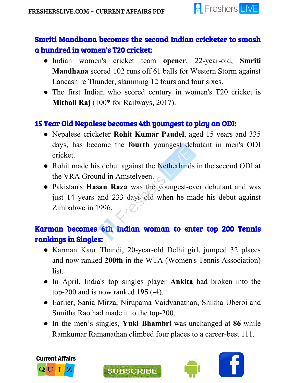

## Smriti Mandhana becomes the second Indian cricketer to smash a hundred in women's T20 cricket:

- Indian women's cricket team **opener**, 22-year-old, **Smriti Mandhana** scored 102 runs off 61 balls for Western Storm against Lancashire Thunder, slamming 12 fours and four sixes.
- The first Indian who scored century in women's T20 cricket is **Mithali Raj** (100\* for Railways, 2017).

## 15 Year Old Nepalese becomes 4th youngest to play an ODI:

- Nepalese cricketer **Rohit Kumar Paudel**, aged 15 years and 335 days, has become the **fourth** youngest debutant in men's ODI cricket.
- Rohit made his debut against the Netherlands in the second ODI at the VRA Ground in Amstelveen.
- Pakistan's **Hasan Raza** was the youngest-ever debutant and was just 14 years and 233 days old when he made his debut against Zimbabwe in 1996.

## Karman becomes 6th Indian woman to enter top 200 Tennis rankings in Singles:

- Karman Kaur Thandi, 20-year-old Delhi girl, jumped 32 places and now ranked **200th** in the WTA (Women's Tennis Association) list.
- In April, India's top singles player **Ankita** had broken into the top-200 and is now ranked **195** (-4).
- Earlier, Sania Mirza, Nirupama Vaidyanathan, Shikha Uberoi and Sunitha Rao had made it to the top-200.
- In the men's singles, **Yuki Bhambri** was unchanged at **86** while Ramkumar Ramanathan climbed four places to a career-best 111.





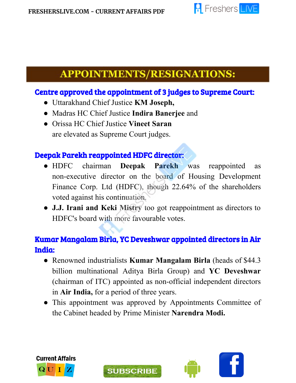ł



## **APPOINTMENTS/RESIGNATIONS:**

#### Centre approved the appointment of 3 judges to Supreme Court:

- Uttarakhand Chief Justice **KM Joseph,**
- Madras HC Chief Justice **Indira Banerjee** and
- Orissa HC Chief Justice **Vineet Saran** are elevated as Supreme Court judges.

#### Deepak Parekh reappointed HDFC director:

- HDFC chairman **Deepak Parekh** was reappointed as non-executive director on the board of Housing Development Finance Corp. Ltd (HDFC), though 22.64% of the shareholders voted against his continuation.
- **J.J. Irani and Keki Mistry** too got reappointment as directors to HDFC's board with more favourable votes.

## Kumar Mangalam Birla, YC Deveshwar appointed directors in Air India:

- Renowned industrialists **Kumar Mangalam Birla** (heads of \$44.3 billion multinational Aditya Birla Group) and **YC Deveshwar** (chairman of ITC) appointed as non-official independent directors in **Air India,** for a period of three years.
- This appointment was approved by Appointments Committee of the Cabinet headed by Prime Minister **Narendra Modi.**



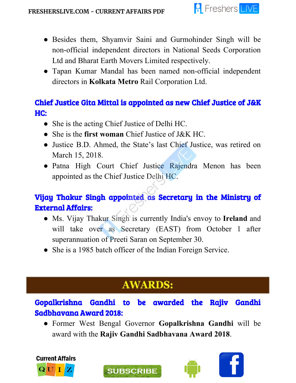

- Besides them, Shyamvir Saini and Gurmohinder Singh will be non-official independent directors in National Seeds Corporation Ltd and Bharat Earth Movers Limited respectively.
- Tapan Kumar Mandal has been named non-official independent directors in **Kolkata Metro** Rail Corporation Ltd.

## Chief Justice Gita Mittal is appointed as new Chief Justice of J&K HC:

- She is the acting Chief Justice of Delhi HC.
- She is the **first woman** Chief Justice of J&K HC.
- Justice B.D. Ahmed, the State's last Chief Justice, was retired on March 15, 2018.
- Patna High Court Chief Justice Rajendra Menon has been appointed as the Chief Justice Delhi HC.

## Vijay Thakur Singh appointed as Secretary in the Ministry of External Affairs:

- Ms. Vijay Thakur Singh is currently India's envoy to **Ireland** and will take over as Secretary (EAST) from October 1 after superannuation of Preeti Saran on September 30.
- She is a 1985 batch officer of the Indian Foreign Service.

# **AWARDS:**

## Gopalkrishna Gandhi to be awarded the Rajiv Gandhi Sadbhavana Award 2018:

**SUBSCRIBE** 

● Former West Bengal Governor **Gopalkrishna Gandhi** will be award with the **Rajiv Gandhi Sadbhavana Award 2018**.





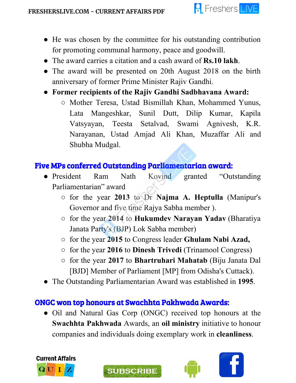

- He was chosen by the committee for his outstanding contribution for promoting communal harmony, peace and goodwill.
- The award carries a citation and a cash award of **Rs.10 lakh**.
- The award will be presented on 20th August 2018 on the birth anniversary of former Prime Minister Rajiv Gandhi.
- **● Former recipients of the Rajiv Gandhi Sadbhavana Award:**
	- Mother Teresa, Ustad Bismillah Khan, Mohammed Yunus, Lata Mangeshkar, Sunil Dutt, Dilip Kumar, Kapila Vatsyayan, Teesta Setalvad, Swami Agnivesh, K.R. Narayanan, Ustad Amjad Ali Khan, Muzaffar Ali and Shubha Mudgal.

#### Five MPs conferred Outstanding Parliamentarian award:

- President Ram Nath Kovind granted "Outstanding Parliamentarian" award
	- for the year **2013** to Dr **Najma A. Heptulla** (Manipur's Governor and five time Rajya Sabha member ).
	- for the year **2014** to **Hukumdev Narayan Yadav** (Bharatiya Janata Party's (BJP) Lok Sabha member)
	- for the year **2015** to Congress leader **Ghulam Nabi Azad,**
	- for the year **2016** to **Dinesh Trivedi** (Trinamool Congress)
	- for the year **2017** to **Bhartruhari Mahatab** (Biju Janata Dal [BJD] Member of Parliament [MP] from Odisha's Cuttack).
- The Outstanding Parliamentarian Award was established in **1995**.

#### ONGC won top honours at Swachhta Pakhwada Awards:

**SUBSCRIBE** 

• Oil and Natural Gas Corp (ONGC) received top honours at the **Swachhta Pakhwada** Awards, an **oil ministry** initiative to honour companies and individuals doing exemplary work in **cleanliness**.





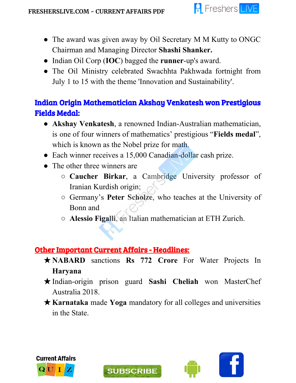

- The award was given away by Oil Secretary M M Kutty to ONGC Chairman and Managing Director **Shashi Shanker.**
- Indian Oil Corp (**IOC**) bagged the **runner**-up's award.
- The Oil Ministry celebrated Swachhta Pakhwada fortnight from July 1 to 15 with the theme 'Innovation and Sustainability'.

## Indian Origin Mathematician Akshay Venkatesh won Prestigious Fields Medal:

- **Akshay Venkatesh**, a renowned Indian-Australian mathematician, is one of four winners of mathematics' prestigious "**Fields medal**", which is known as the Nobel prize for math.
- Each winner receives a 15,000 Canadian-dollar cash prize.
- The other three winners are
	- **Caucher Birkar**, a Cambridge University professor of Iranian Kurdish origin;
	- Germany's **Peter Scholze**, who teaches at the University of Bonn and
	- **Alessio Figalli**, an Italian mathematician at ETH Zurich.

#### Other Important Current Affairs - Headlines:

- ★**NABARD** sanctions **Rs 772 Crore** For Water Projects In **Haryana**
- ★Indian-origin prison guard **Sashi Cheliah** won MasterChef Australia 2018.
- ★**Karnataka** made **Yoga** mandatory for all colleges and universities in the State.





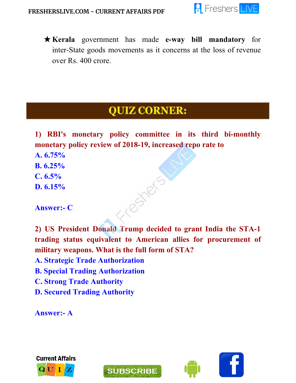

★**Kerala** government has made **e-way bill mandatory** for inter-State goods movements as it concerns at the loss of revenue over Rs. 400 crore.

# **QUIZ CORNER:**

**1) RBI's monetary policy committee in its third bi-monthly monetary policy review of 2018-19, increased repo rate to**

- **A. 6.75%**
- **B. 6.25%**
- **C. 6.5%**
- **D. 6.15%**

**Answer:- C**

**2) US President Donald Trump decided to grant India the STA-1 trading status equivalent to American allies for procurement of military weapons. What is the full form of STA?**

Testers

- **A. Strategic Trade Authorization**
- **B. Special Trading Authorization**
- **C. Strong Trade Authority**
- **D. Secured Trading Authority**

**Answer:- A**





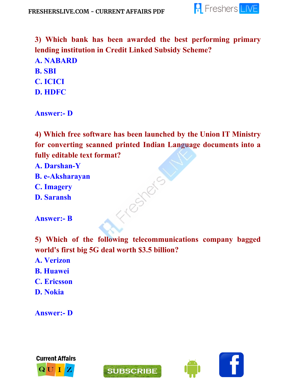

**3) Which bank has been awarded the best performing primary lending institution in Credit Linked Subsidy Scheme?**

- **A. NABARD B. SBI C. ICICI**
- **D. HDFC**

**Answer:- D**

**4) Which free software has been launched by the Union IT Ministry for converting scanned printed Indian Language documents into a fully editable text format?**

- **A. Darshan-Y**
- **B. e-Aksharayan**
- **C. Imagery**
- **D. Saransh**

**Answer:- B**

**5) Which of the following telecommunications company bagged world's first big 5G deal worth \$3.5 billion?**

Fresheis

- **A. Verizon**
- **B. Huawei**
- **C. Ericsson**
- **D. Nokia**

**Answer:- D**





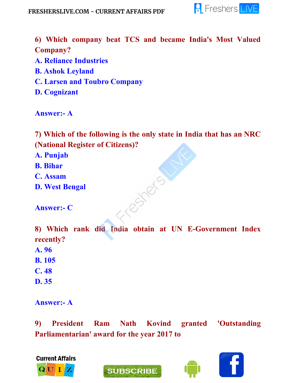

**6) Which company beat TCS and became India's Most Valued Company?**

- **A. Reliance Industries**
- **B. Ashok Leyland**
- **C. Larsen and Toubro Company**
- **D. Cognizant**

**Answer:- A**

**7) Which of the following is the only state in India that has an NRC (National Register of Citizens)?**

**A. Punjab**

- **B. Bihar**
- **C. Assam**
- **D. West Bengal**

**Answer:- C**

**8) Which rank did India obtain at UN E-Government Index recently?**

Testers 1

**A. 96**

**B. 105**

**C. 48**

**D. 35**

**Answer:- A**

**9) President Ram Nath Kovind granted 'Outstanding Parliamentarian' award for the year 2017 to**







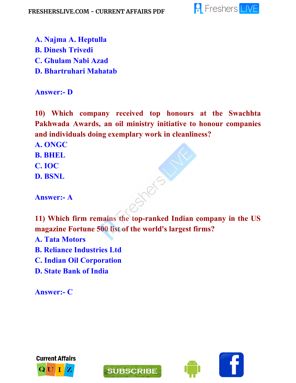

- **A. Najma A. Heptulla B. Dinesh Trivedi C. Ghulam Nabi Azad**
- **D. Bhartruhari Mahatab**

#### **Answer:- D**

**10) Which company received top honours at the Swachhta Pakhwada Awards, an oil ministry initiative to honour companies and individuals doing exemplary work in cleanliness?**

**A. ONGC**

- **B. BHEL**
- **C. IOC**

**D. BSNL**

**Answer:- A**

**11) Which firm remains the top-ranked Indian company in the US magazine Fortune 500 list of the world's largest firms?**

**A. Tata Motors B. Reliance Industries Ltd C. Indian Oil Corporation D. State Bank of India**

**Answer:- C**





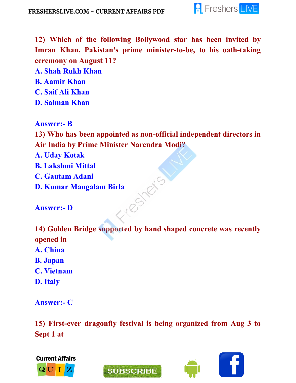

**12) Which of the following Bollywood star has been invited by Imran Khan, Pakistan's prime minister-to-be, to his oath-taking ceremony on August 11?**

- **A. Shah Rukh Khan**
- **B. Aamir Khan**
- **C. Saif Ali Khan**
- **D. Salman Khan**

**Answer:- B**

**13) Who has been appointed as non-official independent directors in Air India by Prime Minister Narendra Modi?**

**A. Uday Kotak**

- **B. Lakshmi Mittal**
- **C. Gautam Adani**
- **D. Kumar Mangalam Birla**<br> **Answer:- D**

**Answer:- D**

**14) Golden Bridge supported by hand shaped concrete was recently opened in A. China B. Japan**

- **C. Vietnam**
- **D. Italy**

**Answer:- C**

**15) First-ever dragonfly festival is being organized from Aug 3 to Sept 1 at**



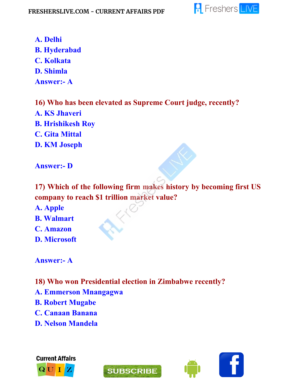

**A. Delhi B. Hyderabad C. Kolkata D. Shimla Answer:- A**

**16) Who has been elevated as Supreme Court judge, recently? A. KS Jhaveri B. Hrishikesh Roy C. Gita Mittal D. KM Joseph**

**Answer:- D**

**17) Which of the following firm makes history by becoming first US company to reach \$1 trillion market value?**

**A. Apple**

**B. Walmart**

**C. Amazon**

**D. Microsoft**

**Answer:- A**

- **18) Who won Presidential election in Zimbabwe recently?**
- **A. Emmerson Mnangagwa**
- **B. Robert Mugabe**
- **C. Canaan Banana**
- **D. Nelson Mandela**





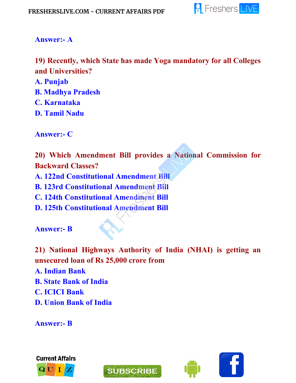

#### **Answer:- A**

**19) Recently, which State has made Yoga mandatory for all Colleges and Universities?**

**A. Punjab**

- **B. Madhya Pradesh**
- **C. Karnataka**
- **D. Tamil Nadu**

**Answer:- C**

**20) Which Amendment Bill provides a National Commission for Backward Classes? A. 122nd Constitutional Amendment Bill B. 123rd Constitutional Amendment Bill C. 124th Constitutional Amendment Bill D. 125th Constitutional Amendment Bill**

**Answer:- B**

**21) National Highways Authority of India (NHAI) is getting an unsecured loan of Rs 25,000 crore from A. Indian Bank B. State Bank of India C. ICICI Bank D. Union Bank of India**

**Answer:- B**





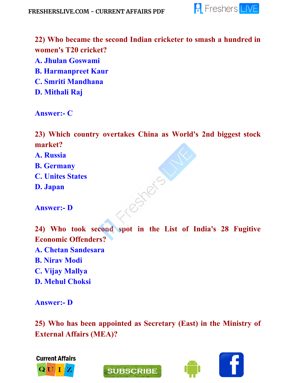

**22) Who became the second Indian cricketer to smash a hundred in women's T20 cricket? A. Jhulan Goswami B. Harmanpreet Kaur C. Smriti Mandhana D. Mithali Raj**

**Answer:- C**

**23) Which country overtakes China as World's 2nd biggest stock market?**

Testas

- **A. Russia**
- **B. Germany**
- **C. Unites States**
- **D. Japan**

**Answer:- D**

**24) Who took second spot in the List of India's 28 Fugitive Economic Offenders? A. Chetan Sandesara B. Nirav Modi C. Vijay Mallya D. Mehul Choksi**

**Answer:- D**

**25) Who has been appointed as Secretary (East) in the Ministry of External Affairs (MEA)?**



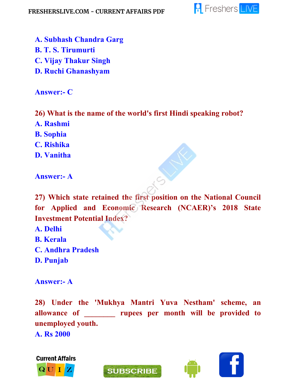

- **A. Subhash Chandra Garg**
- **B. T. S. Tirumurti**
- **C. Vijay Thakur Singh**
- **D. Ruchi Ghanashyam**

**Answer:- C**

**26) What is the name of the world's first Hindi speaking robot?**

- **A. Rashmi**
- **B. Sophia**
- **C. Rishika**
- **D. Vanitha**

**Answer:- A**

**27) Which state retained the first position on the National Council for Applied and Economic Research (NCAER)'s 2018 State Investment Potential Index?**

- **A. Delhi**
- **B. Kerala**
- **C. Andhra Pradesh**
- **D. Punjab**

**Answer:- A**

**28) Under the 'Mukhya Mantri Yuva Nestham' scheme, an allowance of \_\_\_\_\_\_\_\_ rupees per month will be provided to unemployed youth.**

**A. Rs 2000**





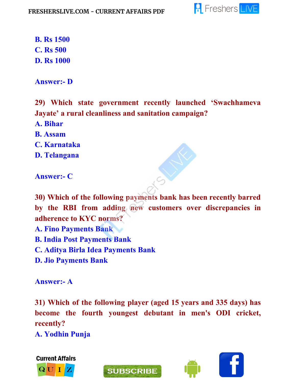

**B. Rs 1500 C. Rs 500 D. Rs 1000**

**Answer:- D**

**29) Which state government recently launched 'Swachhameva Jayate' a rural cleanliness and sanitation campaign?**

**A. Bihar**

**B. Assam**

**C. Karnataka**

**D. Telangana**

**Answer:- C**

**30) Which of the following payments bank has been recently barred by the RBI from adding new customers over discrepancies in adherence to KYC norms?**

**A. Fino Payments Bank**

**B. India Post Payments Bank**

**C. Aditya Birla Idea Payments Bank**

**D. Jio Payments Bank**

**Answer:- A**

**31) Which of the following player (aged 15 years and 335 days) has become the fourth youngest debutant in men's ODI cricket, recently?**

**SUBSCRIBE** 

**A. Yodhin Punja**



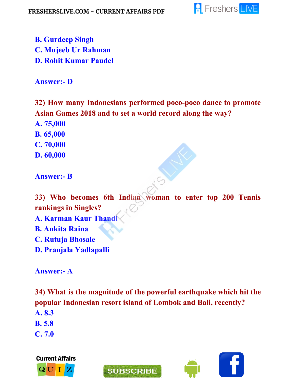

**B. Gurdeep Singh C. Mujeeb Ur Rahman D. Rohit Kumar Paudel**

**Answer:- D**

**32) How many Indonesians performed poco-poco dance to promote Asian Games 2018 and to set a world record along the way?**

**A. 75,000**

**B. 65,000**

**C. 70,000**

**D. 60,000**

**Answer:- B**

**33) Who becomes 6th Indian woman to enter top 200 Tennis rankings in Singles?**

**A. Karman Kaur Thandi**

**B. Ankita Raina**

**C. Rutuja Bhosale**

**D. Pranjala Yadlapalli**

**Answer:- A**

**34) What is the magnitude of the powerful earthquake which hit the popular Indonesian resort island of Lombok and Bali, recently?**

**A. 8.3**

**B. 5.8**

**C. 7.0**